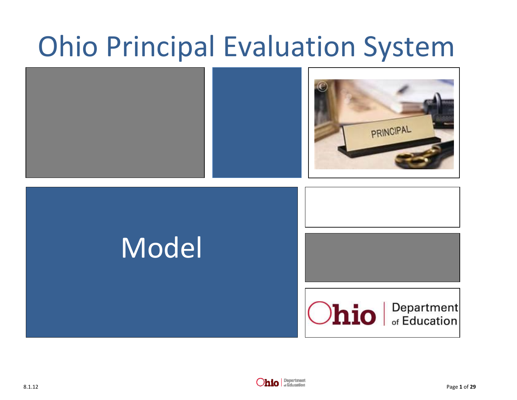# Ohio Principal Evaluation System



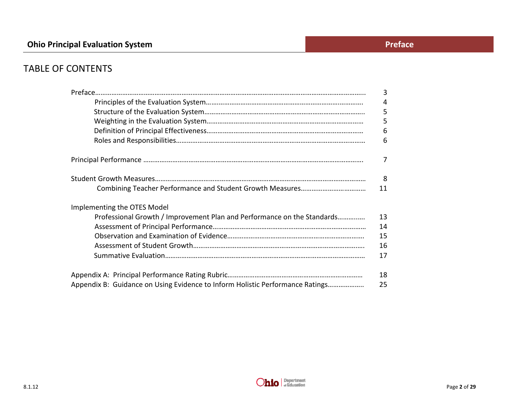# TABLE OF CONTENTS

|                                                                               | 3  |
|-------------------------------------------------------------------------------|----|
|                                                                               | 4  |
|                                                                               | 5  |
|                                                                               | 5  |
|                                                                               | 6  |
|                                                                               | 6  |
|                                                                               | 7  |
|                                                                               | 8  |
|                                                                               | 11 |
| Implementing the OTES Model                                                   |    |
| Professional Growth / Improvement Plan and Performance on the Standards       | 13 |
|                                                                               | 14 |
|                                                                               | 15 |
|                                                                               | 16 |
|                                                                               | 17 |
|                                                                               | 18 |
| Appendix B: Guidance on Using Evidence to Inform Holistic Performance Ratings | 25 |

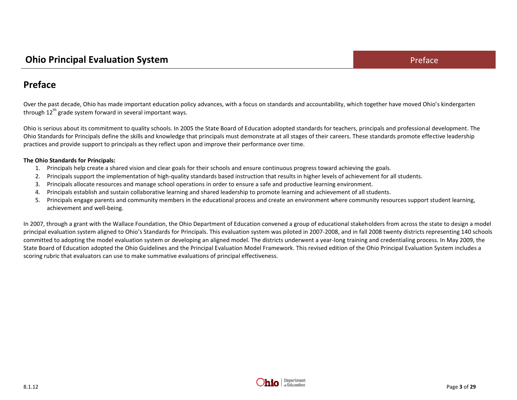## **Preface**

Over the past decade, Ohio has made important education policy advances, with a focus on standards and accountability, which together have moved Ohio's kindergarten through  $12<sup>th</sup>$  grade system forward in several important ways.

Ohio is serious about its commitment to quality schools. In 2005 the State Board of Education adopted standards for teachers, principals and professional development. The Ohio Standards for Principals define the skills and knowledge that principals must demonstrate at all stages of their careers. These standards promote effective leadership practices and provide support to principals as they reflect upon and improve their performance over time.

#### **The Ohio Standards for Principals:**

- 1. Principals help create a shared vision and clear goals for their schools and ensure continuous progress toward achieving the goals.
- 2. Principals support the implementation of high-quality standards based instruction that results in higher levels of achievement for all students.
- 3. Principals allocate resources and manage school operations in order to ensure a safe and productive learning environment.
- 4. Principals establish and sustain collaborative learning and shared leadership to promote learning and achievement of all students.
- 5. Principals engage parents and community members in the educational process and create an environment where community resources support student learning, achievement and well-being.

In 2007, through a grant with the Wallace Foundation, the Ohio Department of Education convened a group of educational stakeholders from across the state to design a model principal evaluation system aligned to Ohio's Standards for Principals. This evaluation system was piloted in 2007-2008, and in fall 2008 twenty districts representing 140 schools committed to adopting the model evaluation system or developing an aligned model. The districts underwent a year-long training and credentialing process. In May 2009, the State Board of Education adopted the Ohio Guidelines and the Principal Evaluation Model Framework. This revised edition of the Ohio Principal Evaluation System includes a scoring rubric that evaluators can use to make summative evaluations of principal effectiveness.

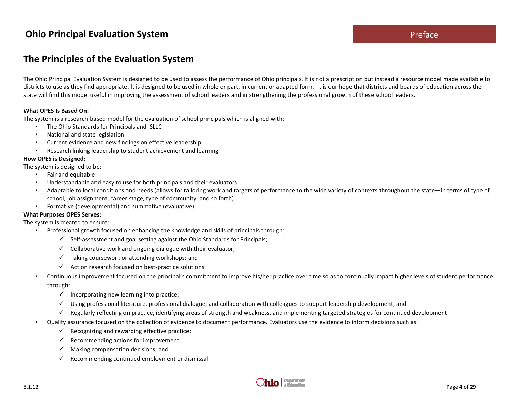## **The Principles of the Evaluation System**

The Ohio Principal Evaluation System is designed to be used to assess the performance of Ohio principals. It is not a prescription but instead a resource model made available to districts to use as they find appropriate. It is designed to be used in whole or part, in current or adapted form. It is our hope that districts and boards of education across the state will find this model useful in improving the assessment of school leaders and in strengthening the professional growth of these school leaders.

#### **What OPES Is Based On:**

The system is a research-based model for the evaluation of school principals which is aligned with:

- The Ohio Standards for Principals and ISLLC
- National and state legislation
- Current evidence and new findings on effective leadership
- Research linking leadership to student achievement and learning

#### **How OPES is Designed:**

The system is designed to be:

- Fair and equitable
- Understandable and easy to use for both principals and their evaluators
- Adaptable to local conditions and needs (allows for tailoring work and targets of performance to the wide variety of contexts throughout the state—in terms of type of school, job assignment, career stage, type of community, and so forth)
- Formative (developmental) and summative (evaluative)

#### **What Purposes OPES Serves:**

The system is created to ensure:

- Professional growth focused on enhancing the knowledge and skills of principals through:
	- $\checkmark$  Self-assessment and goal setting against the Ohio Standards for Principals;
	- $\checkmark$  Collaborative work and ongoing dialogue with their evaluator;
	- $\checkmark$  Taking coursework or attending workshops; and
	- $\checkmark$  Action research focused on best-practice solutions.
- Continuous improvement focused on the principal's commitment to improve his/her practice over time so as to continually impact higher levels of student performance through:
	- $\checkmark$  Incorporating new learning into practice;
	- $\checkmark$  Using professional literature, professional dialogue, and collaboration with colleagues to support leadership development; and
	- $\checkmark$  Regularly reflecting on practice, identifying areas of strength and weakness, and implementing targeted strategies for continued development
- Quality assurance focused on the collection of evidence to document performance. Evaluators use the evidence to inform decisions such as:
	- $\checkmark$  Recognizing and rewarding effective practice;
	- $\checkmark$  Recommending actions for improvement;
	- $\checkmark$  Making compensation decisions; and
	- $\checkmark$  Recommending continued employment or dismissal.

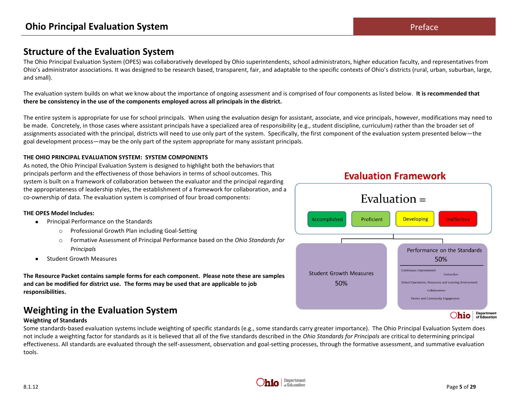## **Structure of the Evaluation System**

The Ohio Principal Evaluation System (OPES) was collaboratively developed by Ohio superintendents, school administrators, higher education faculty, and representatives from Ohio's administrator associations. It was designed to be research based, transparent, fair, and adaptable to the specific contexts of Ohio's districts (rural, urban, suburban, large, and small).

The evaluation system builds on what we know about the importance of ongoing assessment and is comprised of four components as listed below. **It is recommended that there be consistency in the use of the components employed across all principals in the district.**

The entire system is appropriate for use for school principals. When using the evaluation design for assistant, associate, and vice principals, however, modifications may need to be made. Concretely, in those cases where assistant principals have a specialized area of responsibility (e.g., student discipline, curriculum) rather than the broader set of assignments associated with the principal, districts will need to use only part of the system. Specifically, the first component of the evaluation system presented below—the goal development process—may be the only part of the system appropriate for many assistant principals.

#### **THE OHIO PRINCIPAL EVALUATION SYSTEM: SYSTEM COMPONENTS**

As noted, the Ohio Principal Evaluation System is designed to highlight both the behaviors that principals perform and the effectiveness of those behaviors in terms of school outcomes. This system is built on a framework of collaboration between the evaluator and the principal regarding the appropriateness of leadership styles, the establishment of a framework for collaboration, and a co-ownership of data. The evaluation system is comprised of four broad components:

#### **THE OPES Model Includes:**

- **•** Principal Performance on the Standards
	- o Professional Growth Plan including Goal-Setting
	- o Formative Assessment of Principal Performance based on the *Ohio Standards for Principals*
- Student Growth Measures  $\bullet$

**The Resource Packet contains sample forms for each component. Please note these are samples and can be modified for district use. The forms may be used that are applicable to job responsibilities.** 

## **Weighting in the Evaluation System**

#### **Weighting of Standards**

Some standards-based evaluation systems include weighting of specific standards (e.g., some standards carry greater importance). The Ohio Principal Evaluation System does not include a weighting factor for standards as it is believed that all of the five standards described in the *Ohio Standards for Principals* are critical to determining principal effectiveness. All standards are evaluated through the self-assessment, observation and goal-setting processes, through the formative assessment, and summative evaluation tools.

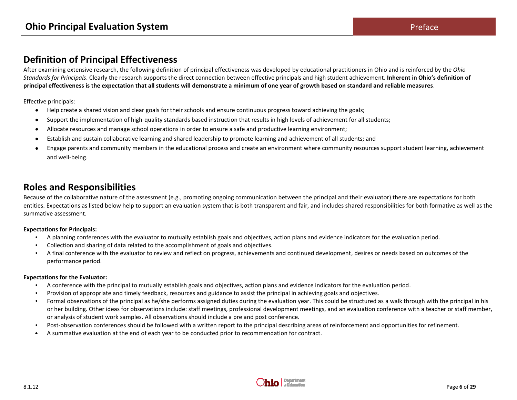## **Definition of Principal Effectiveness**

After examining extensive research, the following definition of principal effectiveness was developed by educational practitioners in Ohio and is reinforced by the *Ohio Standards for Principals*. Clearly the research supports the direct connection between effective principals and high student achievement. **Inherent in Ohio's definition of principal effectiveness is the expectation that all students will demonstrate a minimum of one year of growth based on standard and reliable measures**.

Effective principals:

- Help create a shared vision and clear goals for their schools and ensure continuous progress toward achieving the goals;  $\bullet$
- Support the implementation of high-quality standards based instruction that results in high levels of achievement for all students;
- Allocate resources and manage school operations in order to ensure a safe and productive learning environment;
- Establish and sustain collaborative learning and shared leadership to promote learning and achievement of all students; and  $\bullet$
- Engage parents and community members in the educational process and create an environment where community resources support student learning, achievement  $\bullet$ and well-being.

## **Roles and Responsibilities**

Because of the collaborative nature of the assessment (e.g., promoting ongoing communication between the principal and their evaluator) there are expectations for both entities. Expectations as listed below help to support an evaluation system that is both transparent and fair, and includes shared responsibilities for both formative as well as the summative assessment.

#### **Expectations for Principals:**

- A planning conferences with the evaluator to mutually establish goals and objectives, action plans and evidence indicators for the evaluation period.
- Collection and sharing of data related to the accomplishment of goals and objectives.
- A final conference with the evaluator to review and reflect on progress, achievements and continued development, desires or needs based on outcomes of the performance period.

#### **Expectations for the Evaluator:**

- A conference with the principal to mutually establish goals and objectives, action plans and evidence indicators for the evaluation period.
- Provision of appropriate and timely feedback, resources and guidance to assist the principal in achieving goals and objectives.
- Formal observations of the principal as he/she performs assigned duties during the evaluation year. This could be structured as a walk through with the principal in his or her building. Other ideas for observations include: staff meetings, professional development meetings, and an evaluation conference with a teacher or staff member, or analysis of student work samples. All observations should include a pre and post conference.
- Post-observation conferences should be followed with a written report to the principal describing areas of reinforcement and opportunities for refinement.
- A summative evaluation at the end of each year to be conducted prior to recommendation for contract.

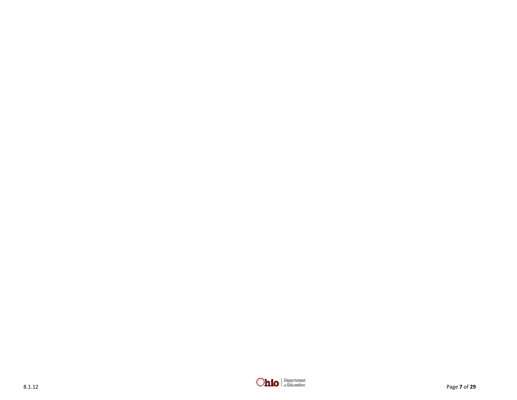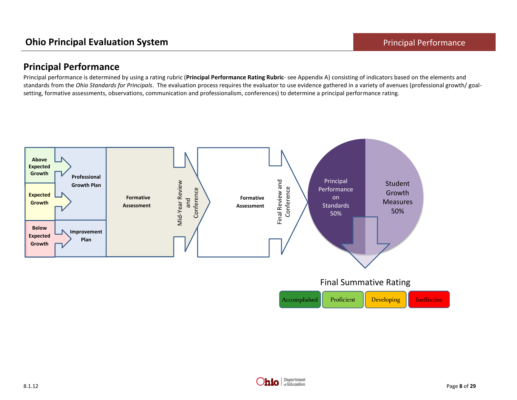## **Ohio Principal Evaluation System** *Principal Performance* **Principal Performance**

Principal performance is determined by using a rating rubric (**Principal Performance Rating Rubric**- see Appendix A) consisting of indicators based on the elements and standards from the *Ohio Standards for Principals*. The evaluation process requires the evaluator to use evidence gathered in a variety of avenues (professional growth/ goalsetting, formative assessments, observations, communication and professionalism, conferences) to determine a principal performance rating.



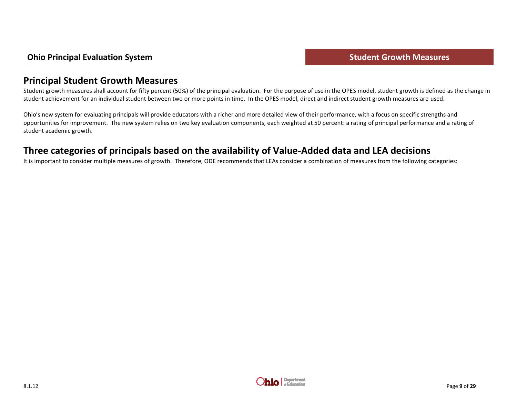## **Principal Student Growth Measures**

Student growth measures shall account for fifty percent (50%) of the principal evaluation. For the purpose of use in the OPES model, student growth is defined as the change in student achievement for an individual student between two or more points in time. In the OPES model, direct and indirect student growth measures are used.

Ohio's new system for evaluating principals will provide educators with a richer and more detailed view of their performance, with a focus on specific strengths and opportunities for improvement. The new system relies on two key evaluation components, each weighted at 50 percent: a rating of principal performance and a rating of student academic growth.

## **Three categories of principals based on the availability of Value-Added data and LEA decisions**

It is important to consider multiple measures of growth. Therefore, ODE recommends that LEAs consider a combination of measures from the following categories:

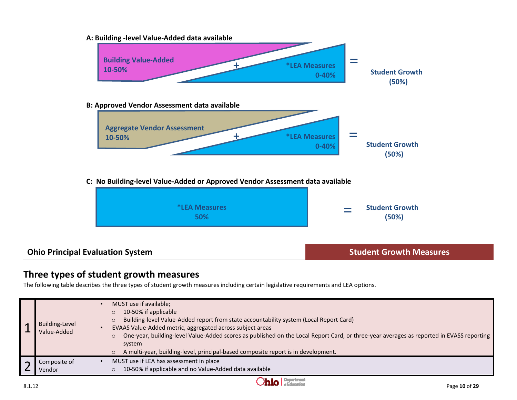

## **Three types of student growth measures**

The following table describes the three types of student growth measures including certain legislative requirements and LEA options.

| <b>Building-Level</b><br>Value-Added | MUST use if available;<br>10-50% if applicable<br>$\circ$<br>Building-level Value-Added report from state accountability system (Local Report Card)<br>$\circ$<br>EVAAS Value-Added metric, aggregated across subject areas<br>One-year, building-level Value-Added scores as published on the Local Report Card, or three-year averages as reported in EVASS reporting<br>$\circ$<br>system<br>A multi-year, building-level, principal-based composite report is in development.<br>$\circ$ |
|--------------------------------------|----------------------------------------------------------------------------------------------------------------------------------------------------------------------------------------------------------------------------------------------------------------------------------------------------------------------------------------------------------------------------------------------------------------------------------------------------------------------------------------------|
| Composite of<br>Vendor               | MUST use if LEA has assessment in place<br>10-50% if applicable and no Value-Added data available<br>$\circ$                                                                                                                                                                                                                                                                                                                                                                                 |

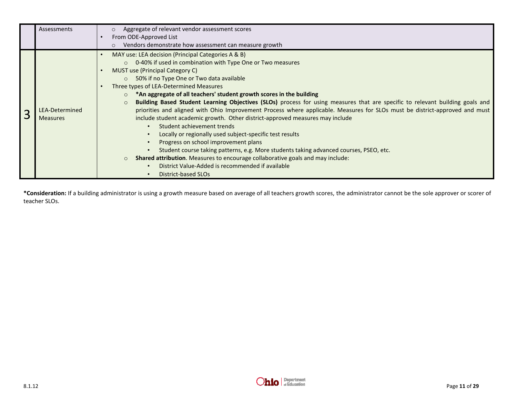| Assessments                       | Aggregate of relevant vendor assessment scores                                                                                                                                                                                                                                                                                                                                                                                                                                                                                                                                                                                                                                                                                                                                                                                                                                                                                                                                                                                                              |
|-----------------------------------|-------------------------------------------------------------------------------------------------------------------------------------------------------------------------------------------------------------------------------------------------------------------------------------------------------------------------------------------------------------------------------------------------------------------------------------------------------------------------------------------------------------------------------------------------------------------------------------------------------------------------------------------------------------------------------------------------------------------------------------------------------------------------------------------------------------------------------------------------------------------------------------------------------------------------------------------------------------------------------------------------------------------------------------------------------------|
|                                   | From ODE-Approved List                                                                                                                                                                                                                                                                                                                                                                                                                                                                                                                                                                                                                                                                                                                                                                                                                                                                                                                                                                                                                                      |
|                                   | Vendors demonstrate how assessment can measure growth                                                                                                                                                                                                                                                                                                                                                                                                                                                                                                                                                                                                                                                                                                                                                                                                                                                                                                                                                                                                       |
| LEA-Determined<br><b>Measures</b> | MAY use: LEA decision (Principal Categories A & B)<br>$\circ$ 0-40% if used in combination with Type One or Two measures<br>MUST use (Principal Category C)<br>$\circ$ 50% if no Type One or Two data available<br>Three types of LEA-Determined Measures<br>*An aggregate of all teachers' student growth scores in the building<br>$\circ$<br>Building Based Student Learning Objectives (SLOs) process for using measures that are specific to relevant building goals and<br>$\circ$<br>priorities and aligned with Ohio Improvement Process where applicable. Measures for SLOs must be district-approved and must<br>include student academic growth. Other district-approved measures may include<br>Student achievement trends<br>$\bullet$<br>Locally or regionally used subject-specific test results<br>Progress on school improvement plans<br>Student course taking patterns, e.g. More students taking advanced courses, PSEO, etc.<br>$\bullet$<br>Shared attribution. Measures to encourage collaborative goals and may include:<br>$\circ$ |
|                                   | District Value-Added is recommended if available<br>$\bullet$<br>District-based SLOs                                                                                                                                                                                                                                                                                                                                                                                                                                                                                                                                                                                                                                                                                                                                                                                                                                                                                                                                                                        |

**\*Consideration:** If a building administrator is using a growth measure based on average of all teachers growth scores, the administrator cannot be the sole approver or scorer of teacher SLOs.

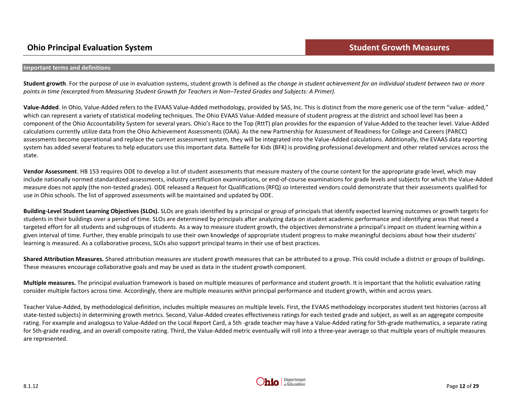#### **Important terms and definitions**

**Student growth**. For the purpose of use in evaluation systems, student growth is defined as *the change in student achievement for an individual student between two or more points in time (*excerpted from *Measuring Student Growth for Teachers in Non–Tested Grades and Subjects: A Primer).* 

**Value-Added**. In Ohio, Value-Added refers to the EVAAS Value-Added methodology, provided by SAS, Inc. This is distinct from the more generic use of the term "value- added," which can represent a variety of statistical modeling techniques. The Ohio EVAAS Value-Added measure of student progress at the district and school level has been a component of the Ohio Accountability System for several years. Ohio's Race to the Top (RttT) plan provides for the expansion of Value-Added to the teacher level. Value-Added calculations currently utilize data from the Ohio Achievement Assessments (OAA). As the new Partnership for Assessment of Readiness for College and Careers (PARCC) assessments become operational and replace the current assessment system, they will be integrated into the Value-Added calculations. Additionally, the EVAAS data reporting system has added several features to help educators use this important data. Battelle for Kids (BFK) is providing professional development and other related services across the state.

**Vendor Assessment**. HB 153 requires ODE to develop a list of student assessments that measure mastery of the course content for the appropriate grade level, which may include nationally normed standardized assessments, industry certification examinations, or end-of-course examinations for grade levels and subjects for which the Value-Added measure does not apply (the non-tested grades). ODE released a Request for Qualifications (RFQ) so interested vendors could demonstrate that their assessments qualified for use in Ohio schools. The list of approved assessments will be maintained and updated by ODE.

**Building-Level Student Learning Objectives (SLOs).** SLOs are goals identified by a principal or group of principals that identify expected learning outcomes or growth targets for students in their buildings over a period of time. SLOs are determined by principals after analyzing data on student academic performance and identifying areas that need a targeted effort for all students and subgroups of students. As a way to measure student growth, the objectives demonstrate a principal's impact on student learning within a given interval of time. Further, they enable principals to use their own knowledge of appropriate student progress to make meaningful decisions about how their students' learning is measured. As a collaborative process, SLOs also support principal teams in their use of best practices.

**Shared Attribution Measures.** Shared attribution measures are student growth measures that can be attributed to a group. This could include a district or groups of buildings. These measures encourage collaborative goals and may be used as data in the student growth component.

**Multiple measures.** The principal evaluation framework is based on multiple measures of performance and student growth. It is important that the holistic evaluation rating consider multiple factors across time. Accordingly, there are multiple measures within principal performance and student growth, within and across years.

Teacher Value-Added, by methodological definition, includes multiple measures on multiple levels. First, the EVAAS methodology incorporates student test histories (across all state-tested subjects) in determining growth metrics. Second, Value-Added creates effectiveness ratings for each tested grade and subject, as well as an aggregate composite rating. For example and analogous to Value-Added on the Local Report Card, a 5th -grade teacher may have a Value-Added rating for 5th-grade mathematics, a separate rating for 5th-grade reading, and an overall composite rating. Third, the Value-Added metric eventually will roll into a three-year average so that multiple years of multiple measures are represented.

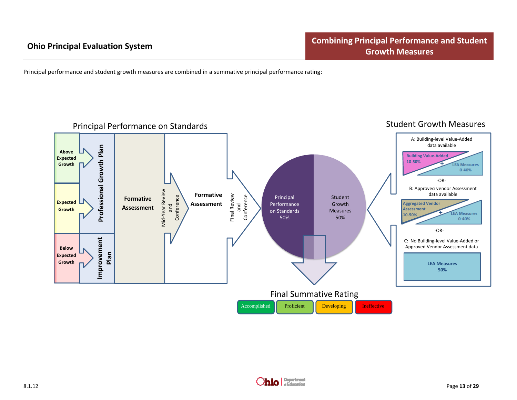Principal performance and student growth measures are combined in a summative principal performance rating:



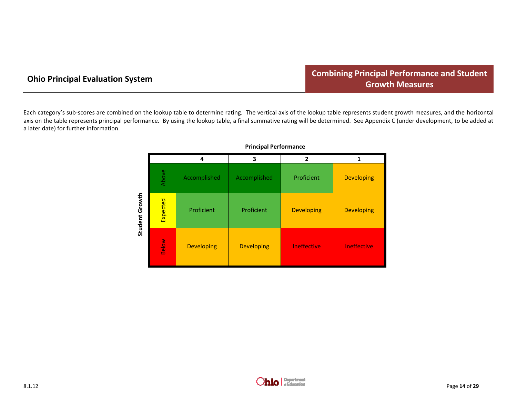## **Ohio Principal Evaluation System** *Combining Principal Performance and Student* **<b>Combining Principal Performance and Student Growth Measures**

Each category's sub-scores are combined on the lookup table to determine rating. The vertical axis of the lookup table represents student growth measures, and the horizontal axis on the table represents principal performance. By using the lookup table, a final summative rating will be determined. See Appendix C (under development, to be added at a later date) for further information.

|                |          | 4                 | 3                 | $\mathbf{2}$       | 1                  |
|----------------|----------|-------------------|-------------------|--------------------|--------------------|
|                | Above    | Accomplished      | Accomplished      | Proficient         | <b>Developing</b>  |
| Student Growth | Expected | Proficient        | Proficient        | <b>Developing</b>  | <b>Developing</b>  |
|                | Below    | <b>Developing</b> | <b>Developing</b> | <b>Ineffective</b> | <b>Ineffective</b> |

**Principal Performance**

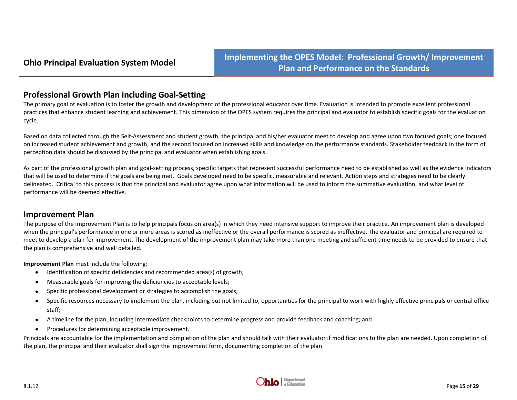#### **Professional Growth Plan including Goal-Setting**

The primary goal of evaluation is to foster the growth and development of the professional educator over time. Evaluation is intended to promote excellent professional practices that enhance student learning and achievement. This dimension of the OPES system requires the principal and evaluator to establish specific goals for the evaluation cycle.

Based on data collected through the Self-Assessment and student growth, the principal and his/her evaluator meet to develop and agree upon two focused goals; one focused on increased student achievement and growth, and the second focused on increased skills and knowledge on the performance standards. Stakeholder feedback in the form of perception data should be discussed by the principal and evaluator when establishing goals.

As part of the professional growth plan and goal-setting process, specific targets that represent successful performance need to be established as well as the evidence indicators that will be used to determine if the goals are being met. Goals developed need to be specific, measurable and relevant. Action steps and strategies need to be clearly delineated. Critical to this process is that the principal and evaluator agree upon what information will be used to inform the summative evaluation, and what level of performance will be deemed effective.

#### **Improvement Plan**

The purpose of the Improvement Plan is to help principals focus on area(s) in which they need intensive support to improve their practice. An improvement plan is developed when the principal's performance in one or more areas is scored as ineffective or the overall performance is scored as ineffective. The evaluator and principal are required to meet to develop a plan for improvement. The development of the improvement plan may take more than one meeting and sufficient time needs to be provided to ensure that the plan is comprehensive and well detailed.

**Improvement Plan** must include the following:

- Identification of specific deficiencies and recommended area(s) of growth;
- Measurable goals for improving the deficiencies to acceptable levels;  $\bullet$
- Specific professional development or strategies to accomplish the goals;
- Specific resources necessary to implement the plan, including but not limited to, opportunities for the principal to work with highly effective principals or central office  $\bullet$ staff;
- A timeline for the plan, including intermediate checkpoints to determine progress and provide feedback and coaching; and
- $\bullet$ Procedures for determining acceptable improvement.

Principals are accountable for the implementation and completion of the plan and should talk with their evaluator if modifications to the plan are needed. Upon completion of the plan, the principal and their evaluator shall sign the improvement form, documenting completion of the plan.

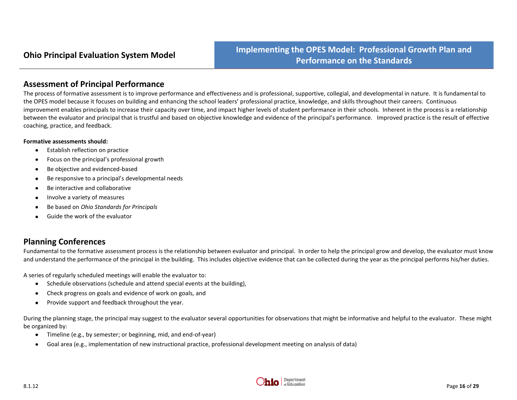#### **Assessment of Principal Performance**

The process of formative assessment is to improve performance and effectiveness and is professional, supportive, collegial, and developmental in nature. It is fundamental to the OPES model because it focuses on building and enhancing the school leaders' professional practice, knowledge, and skills throughout their careers. Continuous improvement enables principals to increase their capacity over time, and impact higher levels of student performance in their schools. Inherent in the process is a relationship between the evaluator and principal that is trustful and based on objective knowledge and evidence of the principal's performance. Improved practice is the result of effective coaching, practice, and feedback.

#### **Formative assessments should:**

- $\bullet$ Establish reflection on practice
- Focus on the principal's professional growth  $\bullet$
- Be objective and evidenced-based
- Be responsive to a principal's developmental needs  $\bullet$
- Be interactive and collaborative  $\bullet$
- Involve a variety of measures
- Be based on *Ohio Standards for Principals*  $\bullet$
- Guide the work of the evaluator

## **Planning Conferences**

Fundamental to the formative assessment process is the relationship between evaluator and principal. In order to help the principal grow and develop, the evaluator must know and understand the performance of the principal in the building. This includes objective evidence that can be collected during the year as the principal performs his/her duties.

A series of regularly scheduled meetings will enable the evaluator to:

- Schedule observations (schedule and attend special events at the building),
- Check progress on goals and evidence of work on goals, and  $\bullet$
- Provide support and feedback throughout the year.  $\bullet$

During the planning stage, the principal may suggest to the evaluator several opportunities for observations that might be informative and helpful to the evaluator. These might be organized by:

- Timeline (e.g., by semester; or beginning, mid, and end-of-year)
- Goal area (e.g., implementation of new instructional practice, professional development meeting on analysis of data) $\bullet$

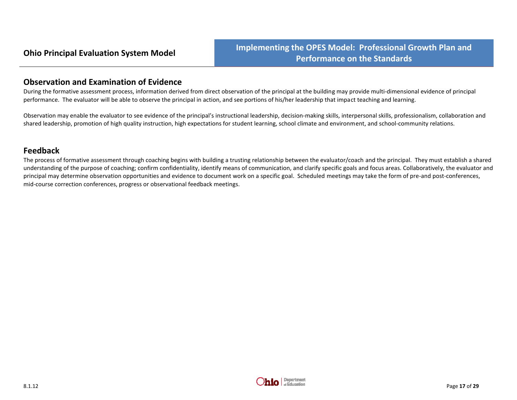#### **Observation and Examination of Evidence**

During the formative assessment process, information derived from direct observation of the principal at the building may provide multi-dimensional evidence of principal performance. The evaluator will be able to observe the principal in action, and see portions of his/her leadership that impact teaching and learning.

Observation may enable the evaluator to see evidence of the principal's instructional leadership, decision-making skills, interpersonal skills, professionalism, collaboration and shared leadership, promotion of high quality instruction, high expectations for student learning, school climate and environment, and school-community relations.

#### **Feedback**

The process of formative assessment through coaching begins with building a trusting relationship between the evaluator/coach and the principal. They must establish a shared understanding of the purpose of coaching; confirm confidentiality, identify means of communication, and clarify specific goals and focus areas. Collaboratively, the evaluator and principal may determine observation opportunities and evidence to document work on a specific goal. Scheduled meetings may take the form of pre-and post-conferences, mid-course correction conferences, progress or observational feedback meetings.

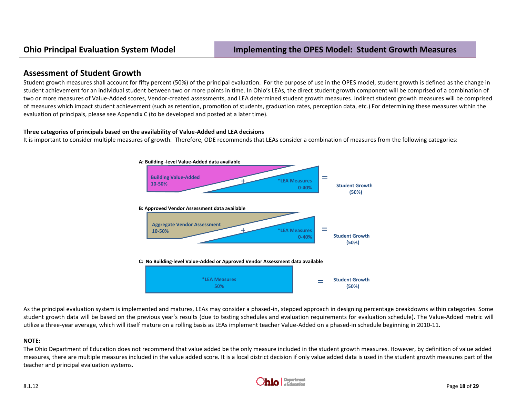### **Assessment of Student Growth**

Student growth measures shall account for fifty percent (50%) of the principal evaluation. For the purpose of use in the OPES model, student growth is defined as the change in student achievement for an individual student between two or more points in time. In Ohio's LEAs, the direct student growth component will be comprised of a combination of two or more measures of Value-Added scores, Vendor-created assessments, and LEA determined student growth measures. Indirect student growth measures will be comprised of measures which impact student achievement (such as retention, promotion of students, graduation rates, perception data, etc.) For determining these measures within the evaluation of principals, please see Appendix C (to be developed and posted at a later time).

#### **Three categories of principals based on the availability of Value-Added and LEA decisions**

It is important to consider multiple measures of growth. Therefore, ODE recommends that LEAs consider a combination of measures from the following categories:



As the principal evaluation system is implemented and matures, LEAs may consider a phased-in, stepped approach in designing percentage breakdowns within categories. Some student growth data will be based on the previous year's results (due to testing schedules and evaluation requirements for evaluation schedule). The Value-Added metric will utilize a three-year average, which will itself mature on a rolling basis as LEAs implement teacher Value-Added on a phased-in schedule beginning in 2010-11.

#### **NOTE:**

The Ohio Department of Education does not recommend that value added be the only measure included in the student growth measures. However, by definition of value added measures, there are multiple measures included in the value added score. It is a local district decision if only value added data is used in the student growth measures part of the teacher and principal evaluation systems.

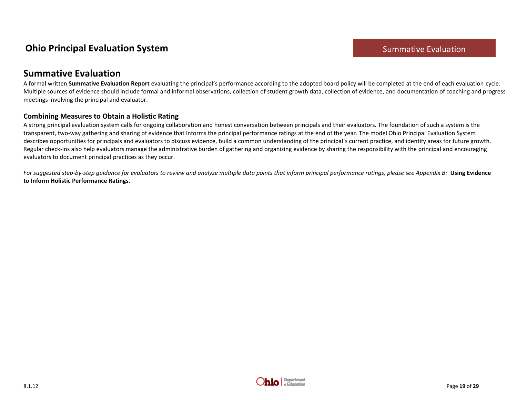## **Summative Evaluation**

A formal written **Summative Evaluation Report** evaluating the principal's performance according to the adopted board policy will be completed at the end of each evaluation cycle. Multiple sources of evidence should include formal and informal observations, collection of student growth data, collection of evidence, and documentation of coaching and progress meetings involving the principal and evaluator.

#### **Combining Measures to Obtain a Holistic Rating**

A strong principal evaluation system calls for ongoing collaboration and honest conversation between principals and their evaluators. The foundation of such a system is the transparent, two-way gathering and sharing of evidence that informs the principal performance ratings at the end of the year. The model Ohio Principal Evaluation System describes opportunities for principals and evaluators to discuss evidence, build a common understanding of the principal's current practice, and identify areas for future growth. Regular check-ins also help evaluators manage the administrative burden of gathering and organizing evidence by sharing the responsibility with the principal and encouraging evaluators to document principal practices as they occur.

For suggested step-by-step guidance for evaluators to review and analyze multiple data points that inform principal performance ratings, please see Appendix B: Using Evidence **to Inform Holistic Performance Ratings**.

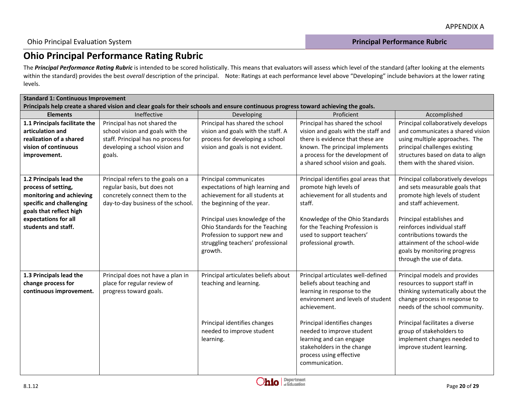## **Ohio Principal Performance Rating Rubric**

The **Principal Performance Rating Rubric** is intended to be scored holistically. This means that evaluators will assess which level of the standard (after looking at the elements within the standard) provides the best *overall* description of the principal. Note: Ratings at each performance level above "Developing" include behaviors at the lower rating levels.

|                                                                                                                                                                                  | <b>Standard 1: Continuous Improvement</b>                                                                                                           |                                                                                                                                                                                                                                                                                     |                                                                                                                                                                                                                                                                                                                         |                                                                                                                                                                                                                                                                                                                        |
|----------------------------------------------------------------------------------------------------------------------------------------------------------------------------------|-----------------------------------------------------------------------------------------------------------------------------------------------------|-------------------------------------------------------------------------------------------------------------------------------------------------------------------------------------------------------------------------------------------------------------------------------------|-------------------------------------------------------------------------------------------------------------------------------------------------------------------------------------------------------------------------------------------------------------------------------------------------------------------------|------------------------------------------------------------------------------------------------------------------------------------------------------------------------------------------------------------------------------------------------------------------------------------------------------------------------|
|                                                                                                                                                                                  | Principals help create a shared vision and clear goals for their schools and ensure continuous progress toward achieving the goals.                 |                                                                                                                                                                                                                                                                                     |                                                                                                                                                                                                                                                                                                                         |                                                                                                                                                                                                                                                                                                                        |
| <b>Elements</b>                                                                                                                                                                  | Ineffective                                                                                                                                         | Developing                                                                                                                                                                                                                                                                          | Proficient                                                                                                                                                                                                                                                                                                              | Accomplished                                                                                                                                                                                                                                                                                                           |
| 1.1 Principals facilitate the<br>articulation and<br>realization of a shared<br>vision of continuous<br>improvement.                                                             | Principal has not shared the<br>school vision and goals with the<br>staff. Principal has no process for<br>developing a school vision and<br>goals. | Principal has shared the school<br>vision and goals with the staff. A<br>process for developing a school<br>vision and goals is not evident.                                                                                                                                        | Principal has shared the school<br>vision and goals with the staff and<br>there is evidence that these are<br>known. The principal implements<br>a process for the development of<br>a shared school vision and goals.                                                                                                  | Principal collaboratively develops<br>and communicates a shared vision<br>using multiple approaches. The<br>principal challenges existing<br>structures based on data to align<br>them with the shared vision.                                                                                                         |
| 1.2 Principals lead the<br>process of setting,<br>monitoring and achieving<br>specific and challenging<br>goals that reflect high<br>expectations for all<br>students and staff. | Principal refers to the goals on a<br>regular basis, but does not<br>concretely connect them to the<br>day-to-day business of the school.           | Principal communicates<br>expectations of high learning and<br>achievement for all students at<br>the beginning of the year.<br>Principal uses knowledge of the<br>Ohio Standards for the Teaching<br>Profession to support new and<br>struggling teachers' professional<br>growth. | Principal identifies goal areas that<br>promote high levels of<br>achievement for all students and<br>staff.<br>Knowledge of the Ohio Standards<br>for the Teaching Profession is<br>used to support teachers'<br>professional growth.                                                                                  | Principal collaboratively develops<br>and sets measurable goals that<br>promote high levels of student<br>and staff achievement.<br>Principal establishes and<br>reinforces individual staff<br>contributions towards the<br>attainment of the school-wide<br>goals by monitoring progress<br>through the use of data. |
| 1.3 Principals lead the<br>change process for<br>continuous improvement.                                                                                                         | Principal does not have a plan in<br>place for regular review of<br>progress toward goals.                                                          | Principal articulates beliefs about<br>teaching and learning.<br>Principal identifies changes<br>needed to improve student<br>learning.                                                                                                                                             | Principal articulates well-defined<br>beliefs about teaching and<br>learning in response to the<br>environment and levels of student<br>achievement.<br>Principal identifies changes<br>needed to improve student<br>learning and can engage<br>stakeholders in the change<br>process using effective<br>communication. | Principal models and provides<br>resources to support staff in<br>thinking systematically about the<br>change process in response to<br>needs of the school community.<br>Principal facilitates a diverse<br>group of stakeholders to<br>implement changes needed to<br>improve student learning.                      |

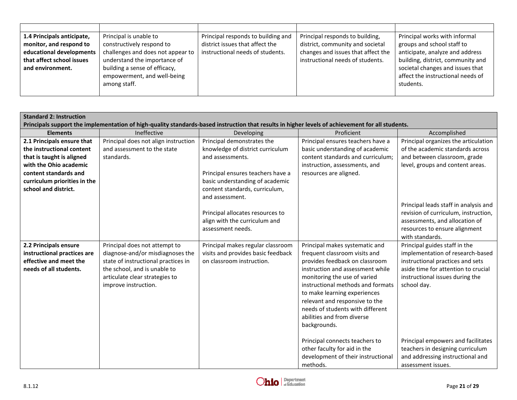| 1.4 Principals anticipate, | Principal is unable to            | Principal responds to building and | Principal responds to building,    | Principal works with informal     |
|----------------------------|-----------------------------------|------------------------------------|------------------------------------|-----------------------------------|
| monitor, and respond to    | constructively respond to         | district issues that affect the    | district, community and societal   | groups and school staff to        |
| educational developments   | challenges and does not appear to | instructional needs of students.   | changes and issues that affect the | anticipate, analyze and address   |
| that affect school issues  | understand the importance of      |                                    | instructional needs of students.   | building, district, community and |
| and environment.           | building a sense of efficacy,     |                                    |                                    | societal changes and issues that  |
|                            | empowerment, and well-being       |                                    |                                    | affect the instructional needs of |
|                            | among staff.                      |                                    |                                    | students.                         |
|                            |                                   |                                    |                                    |                                   |

| <b>Standard 2: Instruction</b><br>Principals support the implementation of high-quality standards-based instruction that results in higher levels of achievement for all students. |                                                                |                                    |                                                                    |                                                                         |
|------------------------------------------------------------------------------------------------------------------------------------------------------------------------------------|----------------------------------------------------------------|------------------------------------|--------------------------------------------------------------------|-------------------------------------------------------------------------|
| <b>Elements</b>                                                                                                                                                                    | Ineffective                                                    | Developing                         | Proficient                                                         | Accomplished                                                            |
| 2.1 Principals ensure that                                                                                                                                                         | Principal does not align instruction                           | Principal demonstrates the         | Principal ensures teachers have a                                  | Principal organizes the articulation                                    |
| the instructional content                                                                                                                                                          | and assessment to the state                                    | knowledge of district curriculum   | basic understanding of academic                                    | of the academic standards across                                        |
| that is taught is aligned                                                                                                                                                          | standards.                                                     | and assessments.                   | content standards and curriculum;                                  | and between classroom, grade                                            |
| with the Ohio academic                                                                                                                                                             |                                                                |                                    | instruction, assessments, and                                      | level, groups and content areas.                                        |
| content standards and                                                                                                                                                              |                                                                | Principal ensures teachers have a  | resources are aligned.                                             |                                                                         |
| curriculum priorities in the                                                                                                                                                       |                                                                | basic understanding of academic    |                                                                    |                                                                         |
| school and district.                                                                                                                                                               |                                                                | content standards, curriculum,     |                                                                    |                                                                         |
|                                                                                                                                                                                    |                                                                | and assessment.                    |                                                                    |                                                                         |
|                                                                                                                                                                                    |                                                                |                                    |                                                                    | Principal leads staff in analysis and                                   |
|                                                                                                                                                                                    |                                                                | Principal allocates resources to   |                                                                    | revision of curriculum, instruction,                                    |
|                                                                                                                                                                                    |                                                                | align with the curriculum and      |                                                                    | assessments, and allocation of                                          |
|                                                                                                                                                                                    |                                                                | assessment needs.                  |                                                                    | resources to ensure alignment                                           |
|                                                                                                                                                                                    |                                                                |                                    |                                                                    | with standards.                                                         |
| 2.2 Principals ensure                                                                                                                                                              | Principal does not attempt to                                  | Principal makes regular classroom  | Principal makes systematic and                                     | Principal guides staff in the                                           |
| instructional practices are                                                                                                                                                        | diagnose-and/or misdiagnoses the                               | visits and provides basic feedback | frequent classroom visits and                                      | implementation of research-based                                        |
| effective and meet the<br>needs of all students.                                                                                                                                   | state of instructional practices in                            | on classroom instruction.          | provides feedback on classroom<br>instruction and assessment while | instructional practices and sets<br>aside time for attention to crucial |
|                                                                                                                                                                                    | the school, and is unable to<br>articulate clear strategies to |                                    | monitoring the use of varied                                       | instructional issues during the                                         |
|                                                                                                                                                                                    | improve instruction.                                           |                                    | instructional methods and formats                                  | school day.                                                             |
|                                                                                                                                                                                    |                                                                |                                    | to make learning experiences                                       |                                                                         |
|                                                                                                                                                                                    |                                                                |                                    | relevant and responsive to the                                     |                                                                         |
|                                                                                                                                                                                    |                                                                |                                    | needs of students with different                                   |                                                                         |
|                                                                                                                                                                                    |                                                                |                                    | abilities and from diverse                                         |                                                                         |
|                                                                                                                                                                                    |                                                                |                                    | backgrounds.                                                       |                                                                         |
|                                                                                                                                                                                    |                                                                |                                    |                                                                    |                                                                         |
|                                                                                                                                                                                    |                                                                |                                    | Principal connects teachers to                                     | Principal empowers and facilitates                                      |
|                                                                                                                                                                                    |                                                                |                                    | other faculty for aid in the                                       | teachers in designing curriculum                                        |
|                                                                                                                                                                                    |                                                                |                                    | development of their instructional                                 | and addressing instructional and                                        |
|                                                                                                                                                                                    |                                                                |                                    | methods.                                                           | assessment issues.                                                      |

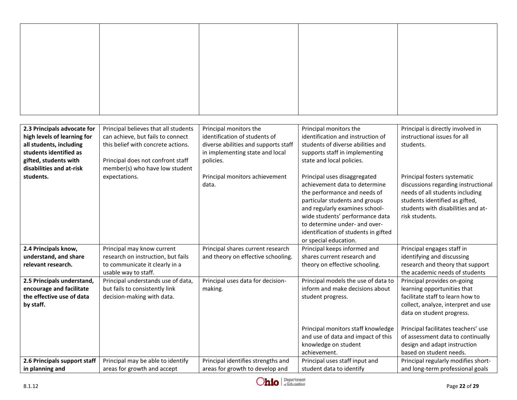| 2.3 Principals advocate for  | Principal believes that all students | Principal monitors the               | Principal monitors the               | Principal is directly involved in   |
|------------------------------|--------------------------------------|--------------------------------------|--------------------------------------|-------------------------------------|
| high levels of learning for  | can achieve, but fails to connect    | identification of students of        | identification and instruction of    | instructional issues for all        |
| all students, including      | this belief with concrete actions.   | diverse abilities and supports staff | students of diverse abilities and    | students.                           |
| students identified as       |                                      | in implementing state and local      | supports staff in implementing       |                                     |
| gifted, students with        | Principal does not confront staff    | policies.                            | state and local policies.            |                                     |
| disabilities and at-risk     | member(s) who have low student       |                                      |                                      |                                     |
| students.                    | expectations.                        | Principal monitors achievement       | Principal uses disaggregated         | Principal fosters systematic        |
|                              |                                      | data.                                | achievement data to determine        | discussions regarding instructional |
|                              |                                      |                                      | the performance and needs of         | needs of all students including     |
|                              |                                      |                                      | particular students and groups       | students identified as gifted,      |
|                              |                                      |                                      | and regularly examines school-       | students with disabilities and at-  |
|                              |                                      |                                      | wide students' performance data      | risk students.                      |
|                              |                                      |                                      | to determine under- and over-        |                                     |
|                              |                                      |                                      | identification of students in gifted |                                     |
|                              |                                      |                                      | or special education.                |                                     |
|                              |                                      |                                      |                                      |                                     |
| 2.4 Principals know,         | Principal may know current           | Principal shares current research    | Principal keeps informed and         | Principal engages staff in          |
| understand, and share        | research on instruction, but fails   | and theory on effective schooling.   | shares current research and          | identifying and discussing          |
| relevant research.           | to communicate it clearly in a       |                                      | theory on effective schooling.       | research and theory that support    |
|                              | usable way to staff.                 |                                      |                                      | the academic needs of students      |
| 2.5 Principals understand,   | Principal understands use of data,   | Principal uses data for decision-    | Principal models the use of data to  | Principal provides on-going         |
| encourage and facilitate     | but fails to consistently link       | making.                              | inform and make decisions about      | learning opportunities that         |
| the effective use of data    | decision-making with data.           |                                      | student progress.                    | facilitate staff to learn how to    |
| by staff.                    |                                      |                                      |                                      | collect, analyze, interpret and use |
|                              |                                      |                                      |                                      | data on student progress.           |
|                              |                                      |                                      |                                      |                                     |
|                              |                                      |                                      | Principal monitors staff knowledge   | Principal facilitates teachers' use |
|                              |                                      |                                      | and use of data and impact of this   | of assessment data to continually   |
|                              |                                      |                                      | knowledge on student                 | design and adapt instruction        |
|                              |                                      |                                      | achievement.                         | based on student needs.             |
| 2.6 Principals support staff | Principal may be able to identify    | Principal identifies strengths and   | Principal uses staff input and       | Principal regularly modifies short- |
| in planning and              | areas for growth and accept          | areas for growth to develop and      | student data to identify             | and long-term professional goals    |

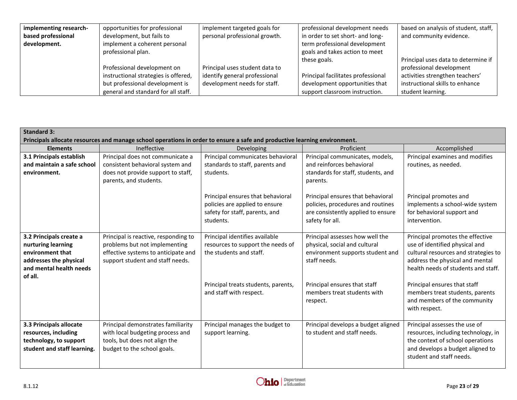| implementing research- | opportunities for professional       | implement targeted goals for   | professional development needs     | based on analysis of student, staff, |
|------------------------|--------------------------------------|--------------------------------|------------------------------------|--------------------------------------|
| based professional     | development, but fails to            | personal professional growth.  | in order to set short- and long-   | and community evidence.              |
| development.           | implement a coherent personal        |                                | term professional development      |                                      |
|                        | professional plan.                   |                                | goals and takes action to meet     |                                      |
|                        |                                      |                                | these goals.                       | Principal uses data to determine if  |
|                        | Professional development on          | Principal uses student data to |                                    | professional development             |
|                        | instructional strategies is offered, | identify general professional  | Principal facilitates professional | activities strengthen teachers'      |
|                        | but professional development is      | development needs for staff.   | development opportunities that     | instructional skills to enhance      |
|                        | general and standard for all staff.  |                                | support classroom instruction.     | student learning.                    |

| <b>Standard 3:</b>                                                                                                                |                                                                                                                                                  |                                                                                                                           |                                                                                                                                 |                                                                                                                                                                                      |  |
|-----------------------------------------------------------------------------------------------------------------------------------|--------------------------------------------------------------------------------------------------------------------------------------------------|---------------------------------------------------------------------------------------------------------------------------|---------------------------------------------------------------------------------------------------------------------------------|--------------------------------------------------------------------------------------------------------------------------------------------------------------------------------------|--|
|                                                                                                                                   |                                                                                                                                                  | Principals allocate resources and manage school operations in order to ensure a safe and productive learning environment. |                                                                                                                                 |                                                                                                                                                                                      |  |
| <b>Elements</b>                                                                                                                   | Ineffective                                                                                                                                      | Developing                                                                                                                | Proficient                                                                                                                      | Accomplished                                                                                                                                                                         |  |
| 3.1 Principals establish                                                                                                          | Principal does not communicate a                                                                                                                 | Principal communicates behavioral                                                                                         | Principal communicates, models,                                                                                                 | Principal examines and modifies                                                                                                                                                      |  |
| and maintain a safe school                                                                                                        | consistent behavioral system and                                                                                                                 | standards to staff, parents and                                                                                           | and reinforces behavioral                                                                                                       | routines, as needed.                                                                                                                                                                 |  |
| environment.                                                                                                                      | does not provide support to staff,                                                                                                               | students.                                                                                                                 | standards for staff, students, and                                                                                              |                                                                                                                                                                                      |  |
|                                                                                                                                   | parents, and students.                                                                                                                           |                                                                                                                           | parents.                                                                                                                        |                                                                                                                                                                                      |  |
|                                                                                                                                   |                                                                                                                                                  | Principal ensures that behavioral<br>policies are applied to ensure<br>safety for staff, parents, and<br>students.        | Principal ensures that behavioral<br>policies, procedures and routines<br>are consistently applied to ensure<br>safety for all. | Principal promotes and<br>implements a school-wide system<br>for behavioral support and<br>intervention.                                                                             |  |
| 3.2 Principals create a<br>nurturing learning<br>environment that<br>addresses the physical<br>and mental health needs<br>of all. | Principal is reactive, responding to<br>problems but not implementing<br>effective systems to anticipate and<br>support student and staff needs. | Principal identifies available<br>resources to support the needs of<br>the students and staff.                            | Principal assesses how well the<br>physical, social and cultural<br>environment supports student and<br>staff needs.            | Principal promotes the effective<br>use of identified physical and<br>cultural resources and strategies to<br>address the physical and mental<br>health needs of students and staff. |  |
|                                                                                                                                   |                                                                                                                                                  | Principal treats students, parents,<br>and staff with respect.                                                            | Principal ensures that staff<br>members treat students with<br>respect.                                                         | Principal ensures that staff<br>members treat students, parents<br>and members of the community<br>with respect.                                                                     |  |
| 3.3 Principals allocate<br>resources, including<br>technology, to support<br>student and staff learning.                          | Principal demonstrates familiarity<br>with local budgeting process and<br>tools, but does not align the<br>budget to the school goals.           | Principal manages the budget to<br>support learning.                                                                      | Principal develops a budget aligned<br>to student and staff needs.                                                              | Principal assesses the use of<br>resources, including technology, in<br>the context of school operations<br>and develops a budget aligned to<br>student and staff needs.             |  |

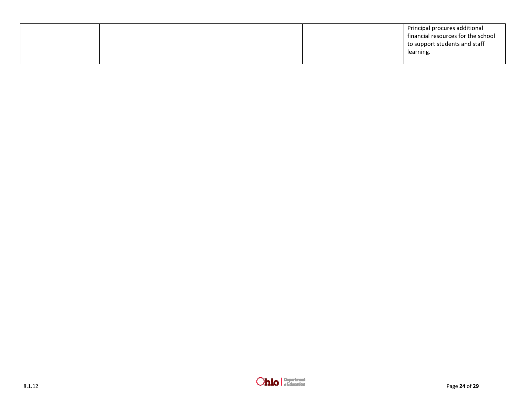|  |  | Principal procures additional      |
|--|--|------------------------------------|
|  |  | financial resources for the school |
|  |  | to support students and staff      |
|  |  | learning.                          |
|  |  |                                    |

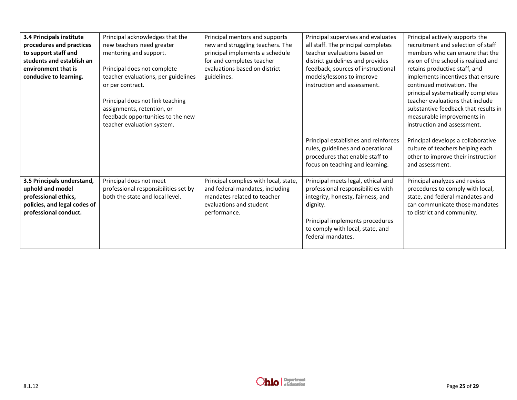| 3.4 Principals institute     | Principal acknowledges that the      | Principal mentors and supports        | Principal supervises and evaluates   | Principal actively supports the      |
|------------------------------|--------------------------------------|---------------------------------------|--------------------------------------|--------------------------------------|
| procedures and practices     | new teachers need greater            | new and struggling teachers. The      | all staff. The principal completes   | recruitment and selection of staff   |
| to support staff and         | mentoring and support.               | principal implements a schedule       | teacher evaluations based on         | members who can ensure that the      |
| students and establish an    |                                      | for and completes teacher             | district guidelines and provides     | vision of the school is realized and |
| environment that is          | Principal does not complete          | evaluations based on district         | feedback, sources of instructional   | retains productive staff, and        |
| conducive to learning.       | teacher evaluations, per guidelines  | guidelines.                           | models/lessons to improve            | implements incentives that ensure    |
|                              | or per contract.                     |                                       | instruction and assessment.          | continued motivation. The            |
|                              |                                      |                                       |                                      | principal systematically completes   |
|                              | Principal does not link teaching     |                                       |                                      | teacher evaluations that include     |
|                              | assignments, retention, or           |                                       |                                      | substantive feedback that results in |
|                              | feedback opportunities to the new    |                                       |                                      | measurable improvements in           |
|                              | teacher evaluation system.           |                                       |                                      | instruction and assessment.          |
|                              |                                      |                                       |                                      |                                      |
|                              |                                      |                                       | Principal establishes and reinforces | Principal develops a collaborative   |
|                              |                                      |                                       | rules, guidelines and operational    | culture of teachers helping each     |
|                              |                                      |                                       | procedures that enable staff to      | other to improve their instruction   |
|                              |                                      |                                       | focus on teaching and learning.      | and assessment.                      |
|                              |                                      |                                       |                                      |                                      |
| 3.5 Principals understand,   | Principal does not meet              | Principal complies with local, state, | Principal meets legal, ethical and   | Principal analyzes and revises       |
| uphold and model             | professional responsibilities set by | and federal mandates, including       | professional responsibilities with   | procedures to comply with local,     |
| professional ethics,         | both the state and local level.      | mandates related to teacher           | integrity, honesty, fairness, and    | state, and federal mandates and      |
| policies, and legal codes of |                                      | evaluations and student               | dignity.                             | can communicate those mandates       |
| professional conduct.        |                                      | performance.                          |                                      | to district and community.           |
|                              |                                      |                                       | Principal implements procedures      |                                      |
|                              |                                      |                                       | to comply with local, state, and     |                                      |
|                              |                                      |                                       | federal mandates.                    |                                      |
|                              |                                      |                                       |                                      |                                      |
|                              |                                      |                                       |                                      |                                      |

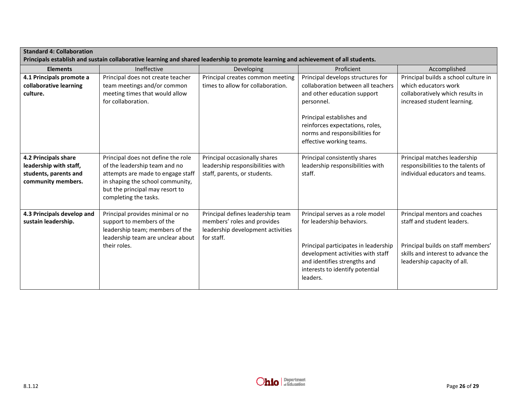| <b>Standard 4: Collaboration</b><br>Principals establish and sustain collaborative learning and shared leadership to promote learning and achievement of all students. |                                                                                                                                                                                                          |                                                                                                                     |                                                                                                                                                                                                                                                    |                                                                                                                                                                        |  |
|------------------------------------------------------------------------------------------------------------------------------------------------------------------------|----------------------------------------------------------------------------------------------------------------------------------------------------------------------------------------------------------|---------------------------------------------------------------------------------------------------------------------|----------------------------------------------------------------------------------------------------------------------------------------------------------------------------------------------------------------------------------------------------|------------------------------------------------------------------------------------------------------------------------------------------------------------------------|--|
| <b>Elements</b>                                                                                                                                                        | Ineffective                                                                                                                                                                                              | Developing                                                                                                          | Proficient                                                                                                                                                                                                                                         | Accomplished                                                                                                                                                           |  |
| 4.1 Principals promote a<br>collaborative learning<br>culture.                                                                                                         | Principal does not create teacher<br>team meetings and/or common<br>meeting times that would allow<br>for collaboration.                                                                                 | Principal creates common meeting<br>times to allow for collaboration.                                               | Principal develops structures for<br>collaboration between all teachers<br>and other education support<br>personnel.<br>Principal establishes and<br>reinforces expectations, roles,<br>norms and responsibilities for<br>effective working teams. | Principal builds a school culture in<br>which educators work<br>collaboratively which results in<br>increased student learning.                                        |  |
| 4.2 Principals share<br>leadership with staff,<br>students, parents and<br>community members.                                                                          | Principal does not define the role<br>of the leadership team and no<br>attempts are made to engage staff<br>in shaping the school community,<br>but the principal may resort to<br>completing the tasks. | Principal occasionally shares<br>leadership responsibilities with<br>staff, parents, or students.                   | Principal consistently shares<br>leadership responsibilities with<br>staff.                                                                                                                                                                        | Principal matches leadership<br>responsibilities to the talents of<br>individual educators and teams.                                                                  |  |
| 4.3 Principals develop and<br>sustain leadership.                                                                                                                      | Principal provides minimal or no<br>support to members of the<br>leadership team; members of the<br>leadership team are unclear about<br>their roles.                                                    | Principal defines leadership team<br>members' roles and provides<br>leadership development activities<br>for staff. | Principal serves as a role model<br>for leadership behaviors.<br>Principal participates in leadership<br>development activities with staff<br>and identifies strengths and<br>interests to identify potential<br>leaders.                          | Principal mentors and coaches<br>staff and student leaders.<br>Principal builds on staff members'<br>skills and interest to advance the<br>leadership capacity of all. |  |

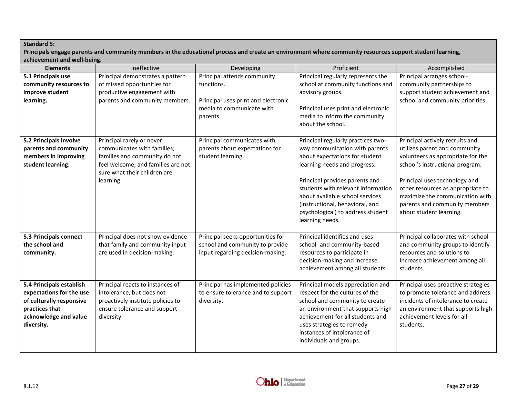#### **Standard 5:**

**Principals engage parents and community members in the educational process and create an environment where community resources support student learning, achievement and well-being.** 

| <b>Elements</b>                                                                                                                           | Ineffective                                                                                                                                                                  | Developing                                                                                                                | Proficient                                                                                                                                                                                                                                                                                                                                   | Accomplished                                                                                                                                                                                                                                                                                                  |
|-------------------------------------------------------------------------------------------------------------------------------------------|------------------------------------------------------------------------------------------------------------------------------------------------------------------------------|---------------------------------------------------------------------------------------------------------------------------|----------------------------------------------------------------------------------------------------------------------------------------------------------------------------------------------------------------------------------------------------------------------------------------------------------------------------------------------|---------------------------------------------------------------------------------------------------------------------------------------------------------------------------------------------------------------------------------------------------------------------------------------------------------------|
| 5.1 Principals use<br>community resources to<br>improve student<br>learning.                                                              | Principal demonstrates a pattern<br>of missed opportunities for<br>productive engagement with<br>parents and community members.                                              | Principal attends community<br>functions.<br>Principal uses print and electronic<br>media to communicate with<br>parents. | Principal regularly represents the<br>school at community functions and<br>advisory groups.<br>Principal uses print and electronic<br>media to inform the community<br>about the school.                                                                                                                                                     | Principal arranges school-<br>community partnerships to<br>support student achievement and<br>school and community priorities.                                                                                                                                                                                |
| 5.2 Principals involve<br>parents and community<br>members in improving<br>student learning.                                              | Principal rarely or never<br>communicates with families;<br>families and community do not<br>feel welcome; and families are not<br>sure what their children are<br>learning. | Principal communicates with<br>parents about expectations for<br>student learning.                                        | Principal regularly practices two-<br>way communication with parents<br>about expectations for student<br>learning needs and progress.<br>Principal provides parents and<br>students with relevant information<br>about available school services<br>(instructional, behavioral, and<br>psychological) to address student<br>learning needs. | Principal actively recruits and<br>utilizes parent and community<br>volunteers as appropriate for the<br>school's instructional program.<br>Principal uses technology and<br>other resources as appropriate to<br>maximize the communication with<br>parents and community members<br>about student learning. |
| 5.3 Principals connect<br>the school and<br>community.                                                                                    | Principal does not show evidence<br>that family and community input<br>are used in decision-making.                                                                          | Principal seeks opportunities for<br>school and community to provide<br>input regarding decision-making.                  | Principal identifies and uses<br>school- and community-based<br>resources to participate in<br>decision-making and increase<br>achievement among all students.                                                                                                                                                                               | Principal collaborates with school<br>and community groups to identify<br>resources and solutions to<br>increase achievement among all<br>students.                                                                                                                                                           |
| 5.4 Principals establish<br>expectations for the use<br>of culturally responsive<br>practices that<br>acknowledge and value<br>diversity. | Principal reacts to instances of<br>intolerance, but does not<br>proactively institute policies to<br>ensure tolerance and support<br>diversity.                             | Principal has implemented policies<br>to ensure tolerance and to support<br>diversity.                                    | Principal models appreciation and<br>respect for the cultures of the<br>school and community to create<br>an environment that supports high<br>achievement for all students and<br>uses strategies to remedy<br>instances of intolerance of<br>individuals and groups.                                                                       | Principal uses proactive strategies<br>to promote tolerance and address<br>incidents of intolerance to create<br>an environment that supports high<br>achievement levels for all<br>students.                                                                                                                 |

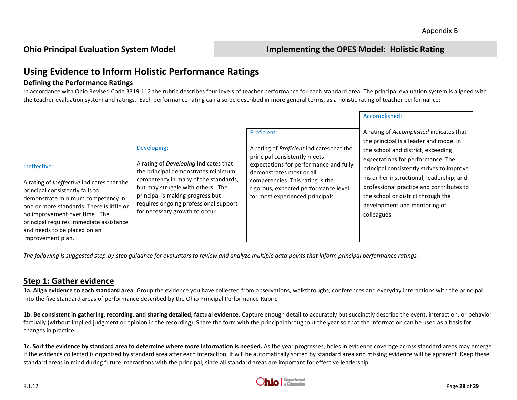## **Using Evidence to Inform Holistic Performance Ratings**

#### **Defining the Performance Ratings**

In accordance with Ohio Revised Code 3319.112 the rubric describes four levels of teacher performance for each standard area. The principal evaluation system is aligned with the teacher evaluation system and ratings. Each performance rating can also be described in more general terms, as a holistic rating of teacher performance:

|                                                                                                                                                                                                                                                                                                                                                                                                                                                                                                                                                                                                                   |                                                                                                                                                                                                                                                                                | Accomplished:                                                                                                                                                                                                                                                                                                                                                                                  |
|-------------------------------------------------------------------------------------------------------------------------------------------------------------------------------------------------------------------------------------------------------------------------------------------------------------------------------------------------------------------------------------------------------------------------------------------------------------------------------------------------------------------------------------------------------------------------------------------------------------------|--------------------------------------------------------------------------------------------------------------------------------------------------------------------------------------------------------------------------------------------------------------------------------|------------------------------------------------------------------------------------------------------------------------------------------------------------------------------------------------------------------------------------------------------------------------------------------------------------------------------------------------------------------------------------------------|
| Developing:<br>A rating of Developing indicates that<br>Ineffective:<br>the principal demonstrates minimum<br>competency in many of the standards,<br>A rating of <i>Ineffective</i> indicates that the<br>but may struggle with others. The<br>principal consistently fails to<br>principal is making progress but<br>demonstrate minimum competency in<br>requires ongoing professional support<br>one or more standards. There is little or<br>for necessary growth to occur.<br>no improvement over time. The<br>principal requires immediate assistance<br>and needs to be placed on an<br>improvement plan. | Proficient:<br>A rating of Proficient indicates that the<br>principal consistently meets<br>expectations for performance and fully<br>demonstrates most or all<br>competencies. This rating is the<br>rigorous, expected performance level<br>for most experienced principals. | A rating of <i>Accomplished</i> indicates that<br>the principal is a leader and model in<br>the school and district, exceeding<br>expectations for performance. The<br>principal consistently strives to improve<br>his or her instructional, leadership, and<br>professional practice and contributes to<br>the school or district through the<br>development and mentoring of<br>colleagues. |

*The following is suggested step-by-step guidance for evaluators to review and analyze multiple data points that inform principal performance ratings.*

### **Step 1: Gather evidence**

**1a. Align evidence to each standard area**. Group the evidence you have collected from observations, walkthroughs, conferences and everyday interactions with the principal into the five standard areas of performance described by the Ohio Principal Performance Rubric.

**1b. Be consistent in gathering, recording, and sharing detailed, factual evidence.** Capture enough detail to accurately but succinctly describe the event, interaction, or behavior factually (without implied judgment or opinion in the recording). Share the form with the principal throughout the year so that the information can be used as a basis for changes in practice.

**1c. Sort the evidence by standard area to determine where more information is needed.** As the year progresses, holes in evidence coverage across standard areas may emerge. If the evidence collected is organized by standard area after each interaction, it will be automatically sorted by standard area and missing evidence will be apparent. Keep these standard areas in mind during future interactions with the principal, since all standard areas are important for effective leadership.